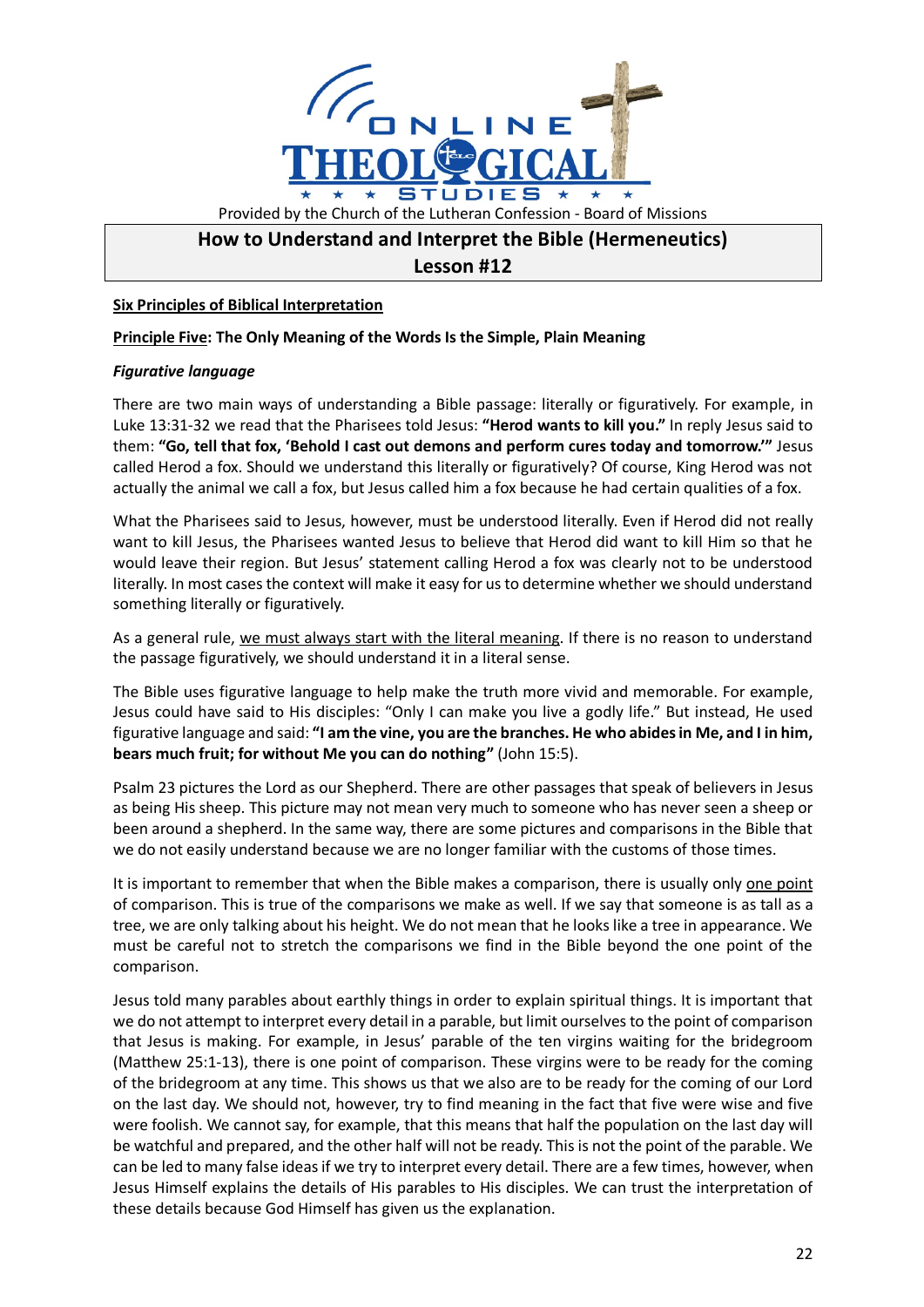

# **How to Understand and Interpret the Bible (Hermeneutics)**

## **Lesson #12**

#### **Six Principles of Biblical Interpretation**

#### **Principle Five: The Only Meaning of the Words Is the Simple, Plain Meaning**

### *Figurative language*

There are two main ways of understanding a Bible passage: literally or figuratively. For example, in Luke 13:31-32 we read that the Pharisees told Jesus: **"Herod wants to kill you."** In reply Jesus said to them: **"Go, tell that fox, 'Behold I cast out demons and perform cures today and tomorrow.'"** Jesus called Herod a fox. Should we understand this literally or figuratively? Of course, King Herod was not actually the animal we call a fox, but Jesus called him a fox because he had certain qualities of a fox.

What the Pharisees said to Jesus, however, must be understood literally. Even if Herod did not really want to kill Jesus, the Pharisees wanted Jesus to believe that Herod did want to kill Him so that he would leave their region. But Jesus' statement calling Herod a fox was clearly not to be understood literally. In most cases the context will make it easy for us to determine whether we should understand something literally or figuratively.

As a general rule, we must always start with the literal meaning. If there is no reason to understand the passage figuratively, we should understand it in a literal sense.

The Bible uses figurative language to help make the truth more vivid and memorable. For example, Jesus could have said to His disciples: "Only I can make you live a godly life." But instead, He used figurative language and said: **"I am the vine, you are the branches. He who abides in Me, and I in him, bears much fruit; for without Me you can do nothing"** (John 15:5).

Psalm 23 pictures the Lord as our Shepherd. There are other passages that speak of believers in Jesus as being His sheep. This picture may not mean very much to someone who has never seen a sheep or been around a shepherd. In the same way, there are some pictures and comparisons in the Bible that we do not easily understand because we are no longer familiar with the customs of those times.

It is important to remember that when the Bible makes a comparison, there is usually only one point of comparison. This is true of the comparisons we make as well. If we say that someone is as tall as a tree, we are only talking about his height. We do not mean that he looks like a tree in appearance. We must be careful not to stretch the comparisons we find in the Bible beyond the one point of the comparison.

Jesus told many parables about earthly things in order to explain spiritual things. It is important that we do not attempt to interpret every detail in a parable, but limit ourselves to the point of comparison that Jesus is making. For example, in Jesus' parable of the ten virgins waiting for the bridegroom (Matthew 25:1-13), there is one point of comparison. These virgins were to be ready for the coming of the bridegroom at any time. This shows us that we also are to be ready for the coming of our Lord on the last day. We should not, however, try to find meaning in the fact that five were wise and five were foolish. We cannot say, for example, that this means that half the population on the last day will be watchful and prepared, and the other half will not be ready. This is not the point of the parable. We can be led to many false ideas if we try to interpret every detail. There are a few times, however, when Jesus Himself explains the details of His parables to His disciples. We can trust the interpretation of these details because God Himself has given us the explanation.